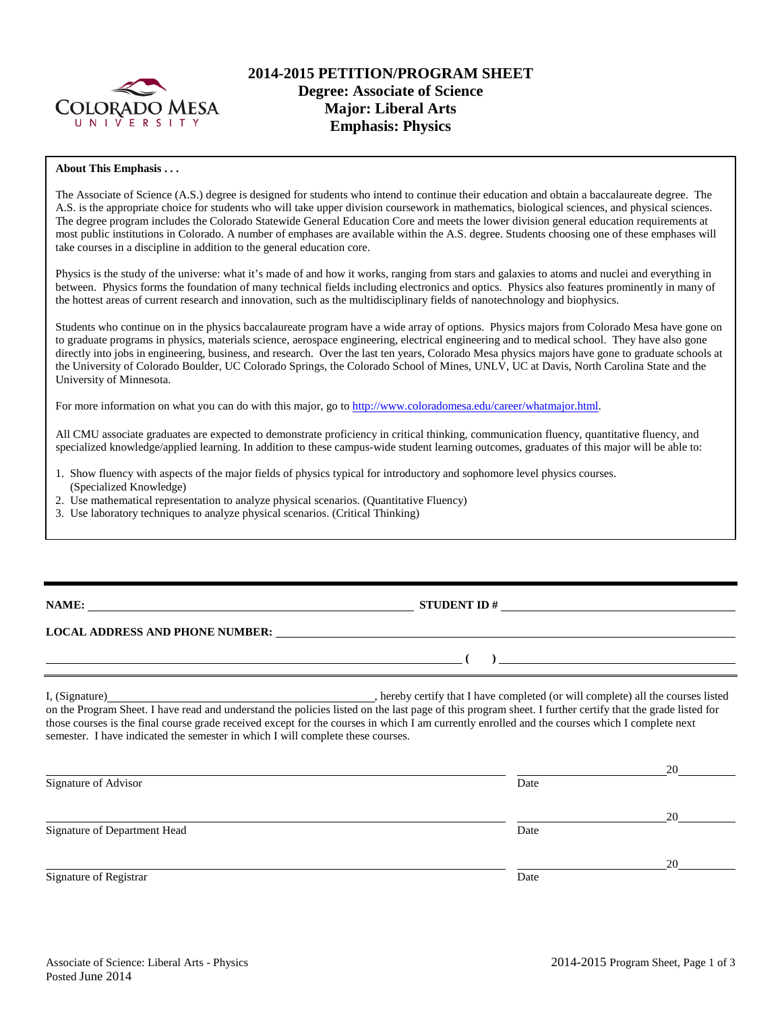

# **2014-2015 PETITION/PROGRAM SHEET Degree: Associate of Science Major: Liberal Arts Emphasis: Physics**

#### **About This Emphasis . . .**

The Associate of Science (A.S.) degree is designed for students who intend to continue their education and obtain a baccalaureate degree. The A.S. is the appropriate choice for students who will take upper division coursework in mathematics, biological sciences, and physical sciences. The degree program includes the Colorado Statewide General Education Core and meets the lower division general education requirements at most public institutions in Colorado. A number of emphases are available within the A.S. degree. Students choosing one of these emphases will take courses in a discipline in addition to the general education core.

Physics is the study of the universe: what it's made of and how it works, ranging from stars and galaxies to atoms and nuclei and everything in between. Physics forms the foundation of many technical fields including electronics and optics. Physics also features prominently in many of the hottest areas of current research and innovation, such as the multidisciplinary fields of nanotechnology and biophysics.

Students who continue on in the physics baccalaureate program have a wide array of options. Physics majors from Colorado Mesa have gone on to graduate programs in physics, materials science, aerospace engineering, electrical engineering and to medical school. They have also gone directly into jobs in engineering, business, and research. Over the last ten years, Colorado Mesa physics majors have gone to graduate schools at the University of Colorado Boulder, UC Colorado Springs, the Colorado School of Mines, UNLV, UC at Davis, North Carolina State and the University of Minnesota.

For more information on what you can do with this major, go to [http://www.coloradomesa.edu/career/whatmajor.html.](http://www.coloradomesa.edu/career/whatmajor.html)

All CMU associate graduates are expected to demonstrate proficiency in critical thinking, communication fluency, quantitative fluency, and specialized knowledge/applied learning. In addition to these campus-wide student learning outcomes, graduates of this major will be able to:

- 1. Show fluency with aspects of the major fields of physics typical for introductory and sophomore level physics courses. (Specialized Knowledge)
- 2. Use mathematical representation to analyze physical scenarios. (Quantitative Fluency)
- 3. Use laboratory techniques to analyze physical scenarios. (Critical Thinking)

### **NAME: STUDENT ID #**

**( )** 

#### **LOCAL ADDRESS AND PHONE NUMBER:**

I, (Signature) **Solution** , hereby certify that I have completed (or will complete) all the courses listed on the Program Sheet. I have read and understand the policies listed on the last page of this program sheet. I further certify that the grade listed for those courses is the final course grade received except for the courses in which I am currently enrolled and the courses which I complete next semester. I have indicated the semester in which I will complete these courses.

|                              |      | 20 |
|------------------------------|------|----|
| Signature of Advisor         | Date |    |
|                              |      | 20 |
| Signature of Department Head | Date |    |
|                              |      | 20 |
| Signature of Registrar       | Date |    |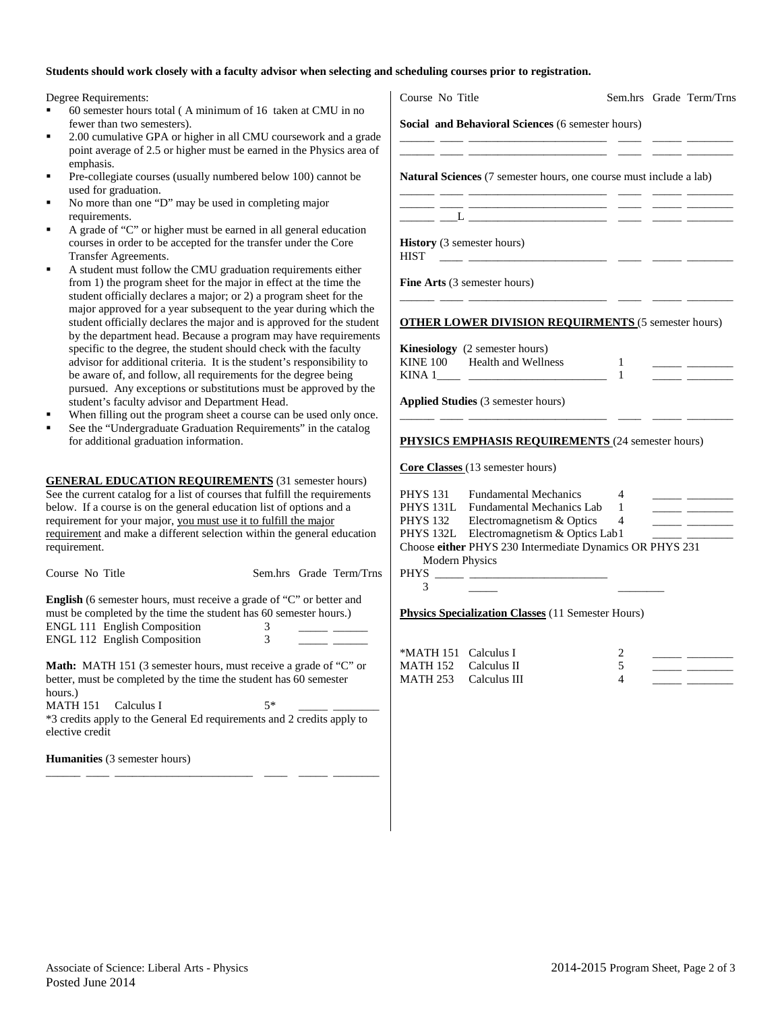### **Students should work closely with a faculty advisor when selecting and scheduling courses prior to registration.**

Degree Requirements:

- 60 semester hours total ( A minimum of 16 taken at CMU in no fewer than two semesters).
- 2.00 cumulative GPA or higher in all CMU coursework and a gr point average of 2.5 or higher must be earned in the Physics area emphasis.
- Pre-collegiate courses (usually numbered below 100) cannot be used for graduation.
- No more than one "D" may be used in completing major requirements.
- A grade of "C" or higher must be earned in all general education courses in order to be accepted for the transfer under the Core Transfer Agreements.
- A student must follow the CMU graduation requirements either from 1) the program sheet for the major in effect at the time the student officially declares a major; or 2) a program sheet for the major approved for a year subsequent to the year during which th student officially declares the major and is approved for the stud by the department head. Because a program may have requireme specific to the degree, the student should check with the faculty advisor for additional criteria. It is the student's responsibility to be aware of, and follow, all requirements for the degree being pursued. Any exceptions or substitutions must be approved by the student's faculty advisor and Department Head.
- When filling out the program sheet a course can be used only on
- See the "Undergraduate Graduation Requirements" in the catalog for additional graduation information.

## **GENERAL EDUCATION REQUIREMENTS** (31 semester hours) See the current catalog for a list of courses that fulfill the requirement below. If a course is on the general education list of options and a requirement for your major, you must use it to fulfill the major requirement and make a different selection within the general educati requirement.

| Course No Title                                                                                                                                                                   |    | Sem.hrs Grade Term/Trns |
|-----------------------------------------------------------------------------------------------------------------------------------------------------------------------------------|----|-------------------------|
| <b>English</b> (6 semester hours, must receive a grade of "C" or better and                                                                                                       |    |                         |
| must be completed by the time the student has 60 semester hours.)                                                                                                                 |    |                         |
| <b>ENGL 111 English Composition</b>                                                                                                                                               | 3  |                         |
| <b>ENGL 112 English Composition</b>                                                                                                                                               | 3  |                         |
| <b>Math:</b> MATH 151 (3 semester hours, must receive a grade of "C" or<br>better, must be completed by the time the student has 60 semester<br>hours.)<br>MATH 151<br>Calculus I | 5* |                         |
| *3 credits apply to the General Ed requirements and 2 credits apply to<br>elective credit                                                                                         |    |                         |
| <b>Humanities</b> (3 semester hours)                                                                                                                                              |    |                         |

\_\_\_\_\_\_ \_\_\_\_ \_\_\_\_\_\_\_\_\_\_\_\_\_\_\_\_\_\_\_\_\_\_\_\_ \_\_\_\_ \_\_\_\_\_ \_\_\_\_\_\_\_\_

| Course No Title                               |                                                                                                                                                                                            | Sem.hrs Grade Term/Trns |                                                                                                                                                                                                                                                                                                                                                                                                                                                                                           |
|-----------------------------------------------|--------------------------------------------------------------------------------------------------------------------------------------------------------------------------------------------|-------------------------|-------------------------------------------------------------------------------------------------------------------------------------------------------------------------------------------------------------------------------------------------------------------------------------------------------------------------------------------------------------------------------------------------------------------------------------------------------------------------------------------|
|                                               | Social and Behavioral Sciences (6 semester hours)                                                                                                                                          |                         |                                                                                                                                                                                                                                                                                                                                                                                                                                                                                           |
|                                               | <u> 1999 - 1999 - 1999 - 1999 - 1999 - 1999 - 1999 - 1999 - 1999 - 1999 - 1999 - 1999 - 1999 - 1999 - 1999 - 199</u><br>Natural Sciences (7 semester hours, one course must include a lab) |                         |                                                                                                                                                                                                                                                                                                                                                                                                                                                                                           |
|                                               | <u> 1999 - Jan James James, mars and de la production de la production de la production de la production de la p</u>                                                                       |                         |                                                                                                                                                                                                                                                                                                                                                                                                                                                                                           |
| History (3 semester hours)<br>HIST            |                                                                                                                                                                                            |                         |                                                                                                                                                                                                                                                                                                                                                                                                                                                                                           |
|                                               | <b>Fine Arts</b> (3 semester hours)                                                                                                                                                        |                         |                                                                                                                                                                                                                                                                                                                                                                                                                                                                                           |
|                                               | <b>OTHER LOWER DIVISION REQUIRMENTS (5 semester hours)</b>                                                                                                                                 |                         |                                                                                                                                                                                                                                                                                                                                                                                                                                                                                           |
|                                               | <b>Kinesiology</b> (2 semester hours)                                                                                                                                                      |                         |                                                                                                                                                                                                                                                                                                                                                                                                                                                                                           |
|                                               | KINE 100 Health and Wellness                                                                                                                                                               | 1                       | $\overline{\phantom{a}}$ and $\overline{\phantom{a}}$                                                                                                                                                                                                                                                                                                                                                                                                                                     |
|                                               | KINA $1 \_$ $\_$                                                                                                                                                                           |                         |                                                                                                                                                                                                                                                                                                                                                                                                                                                                                           |
|                                               |                                                                                                                                                                                            |                         |                                                                                                                                                                                                                                                                                                                                                                                                                                                                                           |
|                                               | <b>Applied Studies</b> (3 semester hours)                                                                                                                                                  |                         |                                                                                                                                                                                                                                                                                                                                                                                                                                                                                           |
|                                               | PHYSICS EMPHASIS REQUIREMENTS (24 semester hours)                                                                                                                                          |                         |                                                                                                                                                                                                                                                                                                                                                                                                                                                                                           |
|                                               | <b>Core Classes</b> $(13$ semester hours)                                                                                                                                                  |                         |                                                                                                                                                                                                                                                                                                                                                                                                                                                                                           |
|                                               | PHYS 131 Fundamental Mechanics 4                                                                                                                                                           |                         |                                                                                                                                                                                                                                                                                                                                                                                                                                                                                           |
|                                               |                                                                                                                                                                                            |                         |                                                                                                                                                                                                                                                                                                                                                                                                                                                                                           |
|                                               | PHYS 131L Fundamental Mechanics Lab 1<br>PHYS 132 Electromagnetism & Optics 4                                                                                                              |                         |                                                                                                                                                                                                                                                                                                                                                                                                                                                                                           |
|                                               | PHYS 132L Electromagnetism & Optics Lab1                                                                                                                                                   |                         |                                                                                                                                                                                                                                                                                                                                                                                                                                                                                           |
|                                               | Choose either PHYS 230 Intermediate Dynamics OR PHYS 231                                                                                                                                   |                         |                                                                                                                                                                                                                                                                                                                                                                                                                                                                                           |
| <b>Modern Physics</b>                         |                                                                                                                                                                                            |                         |                                                                                                                                                                                                                                                                                                                                                                                                                                                                                           |
| PHYS $\_\_\_\_\_\_\_\_\_\$                    |                                                                                                                                                                                            |                         |                                                                                                                                                                                                                                                                                                                                                                                                                                                                                           |
| $\mathfrak{Z}$                                |                                                                                                                                                                                            |                         |                                                                                                                                                                                                                                                                                                                                                                                                                                                                                           |
|                                               | <b>Physics Specialization Classes</b> (11 Semester Hours)                                                                                                                                  |                         |                                                                                                                                                                                                                                                                                                                                                                                                                                                                                           |
|                                               |                                                                                                                                                                                            |                         |                                                                                                                                                                                                                                                                                                                                                                                                                                                                                           |
| *MATH 151 Calculus I                          |                                                                                                                                                                                            | 2                       |                                                                                                                                                                                                                                                                                                                                                                                                                                                                                           |
| MATH 152 Calculus II<br>MATH 253 Calculus III |                                                                                                                                                                                            | 5<br>$\overline{4}$     | $\begin{tabular}{ll} \multicolumn{1}{l}{} & \multicolumn{1}{l}{} & \multicolumn{1}{l}{} \\ \multicolumn{1}{l}{} & \multicolumn{1}{l}{} & \multicolumn{1}{l}{} \\ \multicolumn{1}{l}{} & \multicolumn{1}{l}{} & \multicolumn{1}{l}{} \\ \multicolumn{1}{l}{} & \multicolumn{1}{l}{} & \multicolumn{1}{l}{} \\ \multicolumn{1}{l}{} & \multicolumn{1}{l}{} \\ \multicolumn{1}{l}{} & \multicolumn{1}{l}{} \\ \multicolumn{1}{l}{} & \multicolumn{1}{l}{} \\ \multicolumn{1}{l}{} & \multic$ |